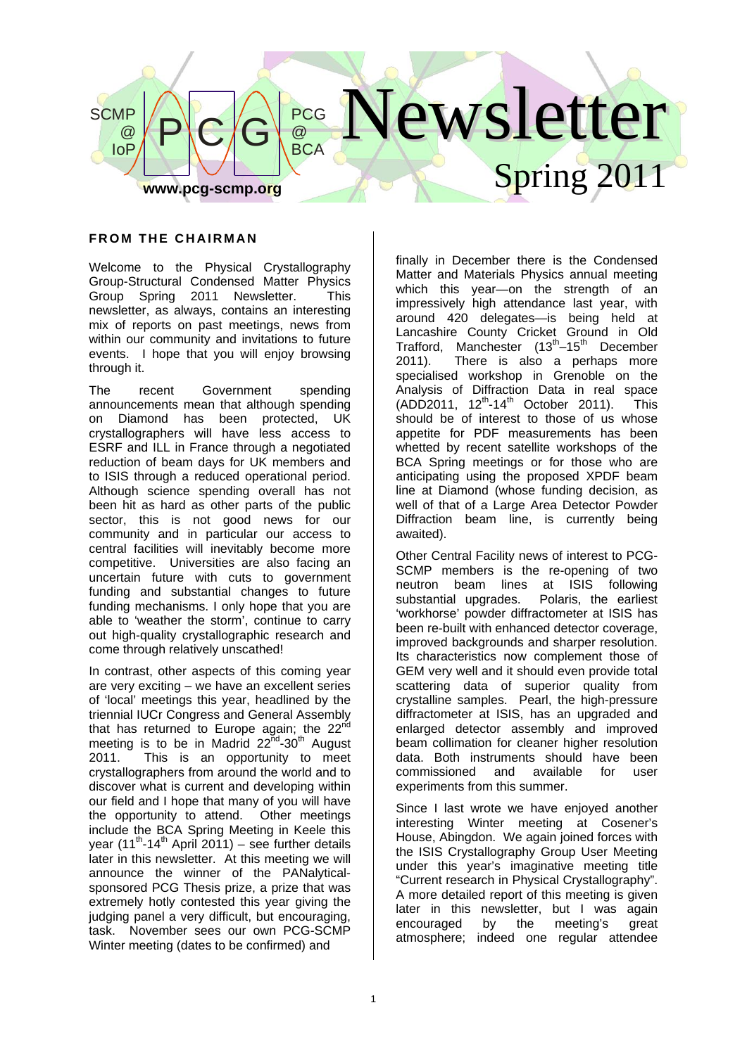

### **FROM THE CHAIRMAN**

Welcome to the Physical Crystallography Group-Structural Condensed Matter Physics Group Spring 2011 Newsletter. This newsletter, as always, contains an interesting mix of reports on past meetings, news from within our community and invitations to future events. I hope that you will enjoy browsing through it.

The recent Government spending announcements mean that although spending on Diamond has been protected, UK crystallographers will have less access to ESRF and ILL in France through a negotiated reduction of beam days for UK members and to ISIS through a reduced operational period. Although science spending overall has not been hit as hard as other parts of the public sector, this is not good news for our community and in particular our access to central facilities will inevitably become more competitive. Universities are also facing an uncertain future with cuts to government funding and substantial changes to future funding mechanisms. I only hope that you are able to 'weather the storm', continue to carry out high-quality crystallographic research and come through relatively unscathed!

In contrast, other aspects of this coming year are very exciting – we have an excellent series of 'local' meetings this year, headlined by the triennial IUCr Congress and General Assembly that has returned to Europe again; the  $22^{nd}$ meeting is to be in Madrid  $22^{nd} - 30^{th}$  August 2011. This is an opportunity to meet crystallographers from around the world and to discover what is current and developing within our field and I hope that many of you will have the opportunity to attend. Other meetings include the BCA Spring Meeting in Keele this vear (11<sup>th</sup>-14<sup>th</sup> April 2011) – see further details later in this newsletter. At this meeting we will announce the winner of the PANalyticalsponsored PCG Thesis prize, a prize that was extremely hotly contested this year giving the judging panel a very difficult, but encouraging, task. November sees our own PCG-SCMP Winter meeting (dates to be confirmed) and

finally in December there is the Condensed Matter and Materials Physics annual meeting which this year—on the strength of an impressively high attendance last year, with around 420 delegates—is being held at Lancashire County Cricket Ground in Old Trafford, Manchester  $(13<sup>th</sup>-15<sup>th</sup>$  December 2011). There is also a perhaps more specialised workshop in Grenoble on the Analysis of Diffraction Data in real space  $(ADD2011, 12<sup>th</sup>-14<sup>th</sup>$  October 2011). This should be of interest to those of us whose appetite for PDF measurements has been whetted by recent satellite workshops of the BCA Spring meetings or for those who are anticipating using the proposed XPDF beam line at Diamond (whose funding decision, as well of that of a Large Area Detector Powder Diffraction beam line, is currently being awaited).

Other Central Facility news of interest to PCG-SCMP members is the re-opening of two neutron beam lines at ISIS following substantial upgrades. Polaris, the earliest 'workhorse' powder diffractometer at ISIS has been re-built with enhanced detector coverage, improved backgrounds and sharper resolution. Its characteristics now complement those of GEM very well and it should even provide total scattering data of superior quality from crystalline samples. Pearl, the high-pressure diffractometer at ISIS, has an upgraded and enlarged detector assembly and improved beam collimation for cleaner higher resolution data. Both instruments should have been commissioned and available for user experiments from this summer.

Since I last wrote we have enjoyed another interesting Winter meeting at Cosener's House, Abingdon. We again joined forces with the ISIS Crystallography Group User Meeting under this year's imaginative meeting title "Current research in Physical Crystallography". A more detailed report of this meeting is given later in this newsletter, but I was again encouraged by the meeting's great atmosphere; indeed one regular attendee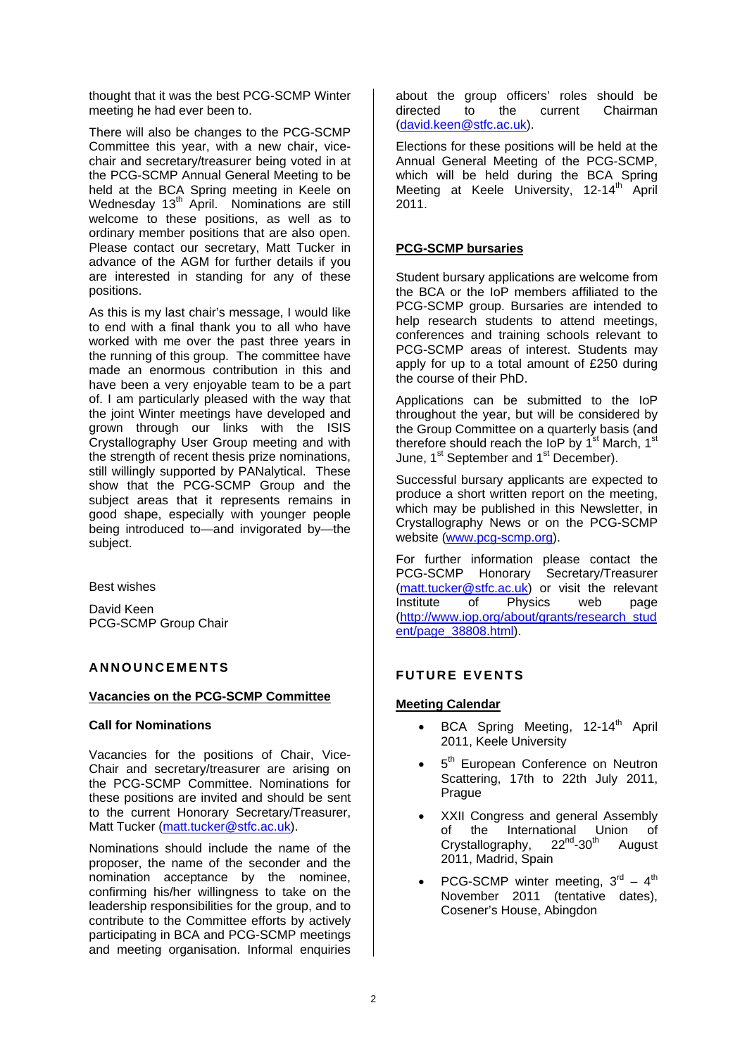thought that it was the best PCG-SCMP Winter meeting he had ever been to.

There will also be changes to the PCG-SCMP Committee this year, with a new chair, vicechair and secretary/treasurer being voted in at the PCG-SCMP Annual General Meeting to be held at the BCA Spring meeting in Keele on Wednesday 13<sup>th</sup> April. Nominations are still welcome to these positions, as well as to ordinary member positions that are also open. Please contact our secretary, Matt Tucker in advance of the AGM for further details if you are interested in standing for any of these positions.

As this is my last chair's message, I would like to end with a final thank you to all who have worked with me over the past three years in the running of this group. The committee have made an enormous contribution in this and have been a very enjoyable team to be a part of. I am particularly pleased with the way that the joint Winter meetings have developed and grown through our links with the ISIS Crystallography User Group meeting and with the strength of recent thesis prize nominations, still willingly supported by PANalytical. These show that the PCG-SCMP Group and the subject areas that it represents remains in good shape, especially with younger people being introduced to—and invigorated by—the subject.

Best wishes

David Keen PCG-SCMP Group Chair

# **ANNOUNCEMENTS**

#### **Vacancies on the PCG-SCMP Committee**

## **Call for Nominations**

Vacancies for the positions of Chair, Vice-Chair and secretary/treasurer are arising on the PCG-SCMP Committee. Nominations for these positions are invited and should be sent to the current Honorary Secretary/Treasurer, Matt Tucker (matt.tucker@stfc.ac.uk).

Nominations should include the name of the proposer, the name of the seconder and the nomination acceptance by the nominee, confirming his/her willingness to take on the leadership responsibilities for the group, and to contribute to the Committee efforts by actively participating in BCA and PCG-SCMP meetings and meeting organisation. Informal enquiries

about the group officers' roles should be directed to the current Chairman (david.keen@stfc.ac.uk).

Elections for these positions will be held at the Annual General Meeting of the PCG-SCMP, which will be held during the BCA Spring Meeting at Keele University, 12-14<sup>th</sup> April 2011.

## **PCG-SCMP bursaries**

Student bursary applications are welcome from the BCA or the IoP members affiliated to the PCG-SCMP group. Bursaries are intended to help research students to attend meetings, conferences and training schools relevant to PCG-SCMP areas of interest. Students may apply for up to a total amount of £250 during the course of their PhD.

Applications can be submitted to the IoP throughout the year, but will be considered by the Group Committee on a quarterly basis (and therefore should reach the IoP by 1<sup>st</sup> March, 1<sup>st</sup> June, 1<sup>st</sup> September and 1<sup>st</sup> December).

Successful bursary applicants are expected to produce a short written report on the meeting, which may be published in this Newsletter, in Crystallography News or on the PCG-SCMP website (www.pcg-scmp.org).

For further information please contact the PCG-SCMP Honorary Secretary/Treasurer (matt.tucker@stfc.ac.uk) or visit the relevant<br>Institute of Physics web page Institute of Physics web page (http://www.iop.org/about/grants/research\_stud ent/page\_38808.html).

## **FUTURE EVENTS**

## **Meeting Calendar**

- BCA Spring Meeting, 12-14<sup>th</sup> April 2011, Keele University
- 5<sup>th</sup> European Conference on Neutron Scattering, 17th to 22th July 2011, Prague
- XXII Congress and general Assembly of the International Union of<br>Crystallography, 22<sup>nd</sup>-30<sup>th</sup> August Crystallography,  $22^{nd}$ -30<sup>th</sup> August 2011, Madrid, Spain
- PCG-SCMP winter meeting.  $3^{\text{rd}} 4^{\text{th}}$ November 2011 (tentative dates), Cosener's House, Abingdon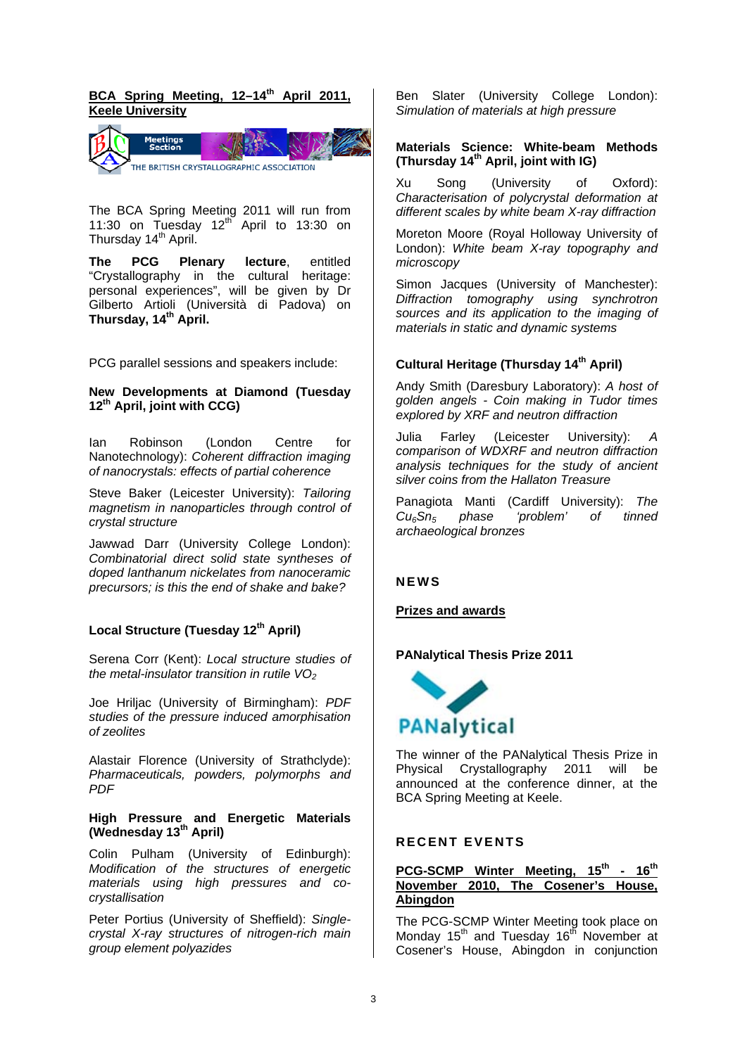# BCA Spring Meeting, 12-14<sup>th</sup> April 2011. **Keele University**



The BCA Spring Meeting 2011 will run from 11:30 on Tuesday  $12<sup>th</sup>$  April to 13:30 on Thursday 14<sup>th</sup> April.

**The PCG Plenary lecture**, entitled "Crystallography in the cultural heritage: personal experiences", will be given by Dr Gilberto Artioli (Università di Padova) on Thursday, 14<sup>th</sup> April.

PCG parallel sessions and speakers include:

### **New Developments at Diamond (Tuesday 12th April, joint with CCG)**

Ian Robinson (London Centre for Nanotechnology): *Coherent diffraction imaging of nanocrystals: effects of partial coherence* 

Steve Baker (Leicester University): *Tailoring magnetism in nanoparticles through control of crystal structure* 

Jawwad Darr (University College London): *Combinatorial direct solid state syntheses of doped lanthanum nickelates from nanoceramic precursors; is this the end of shake and bake?* 

## Local Structure (Tuesday 12<sup>th</sup> April)

Serena Corr (Kent): *Local structure studies of the metal-insulator transition in rutile VO*<sub>2</sub>

Joe Hriljac (University of Birmingham): *PDF studies of the pressure induced amorphisation of zeolites* 

Alastair Florence (University of Strathclyde): *Pharmaceuticals, powders, polymorphs and PDF* 

#### **High Pressure and Energetic Materials (Wednesday 13th April)**

Colin Pulham (University of Edinburgh): *Modification of the structures of energetic materials using high pressures and cocrystallisation* 

Peter Portius (University of Sheffield): *Singlecrystal X-ray structures of nitrogen-rich main group element polyazides* 

Ben Slater (University College London): *Simulation of materials at high pressure* 

#### **Materials Science: White-beam Methods (Thursday 14th April, joint with IG)**

Xu Song (University of Oxford): *Characterisation of polycrystal deformation at different scales by white beam X-ray diffraction* 

Moreton Moore (Royal Holloway University of London): *White beam X-ray topography and microscopy* 

Simon Jacques (University of Manchester): *Diffraction tomography using synchrotron sources and its application to the imaging of materials in static and dynamic systems*

# **Cultural Heritage (Thursday 14th April)**

Andy Smith (Daresbury Laboratory): *A host of golden angels - Coin making in Tudor times explored by XRF and neutron diffraction*

Julia Farley (Leicester University): *comparison of WDXRF and neutron diffraction analysis techniques for the study of ancient silver coins from the Hallaton Treasure* 

Panagiota Manti (Cardiff University): *The Cu6Sn5 phase 'problem' of tinned archaeological bronzes*

## **NEWS**

## **Prizes and awards**

## **PANalytical Thesis Prize 2011**



The winner of the PANalytical Thesis Prize in Physical Crystallography 2011 will be announced at the conference dinner, at the BCA Spring Meeting at Keele.

## **RECENT EVENTS**

### **PCG-SCMP Winter Meeting November 2010, The Cosener's Abingdon**

The PCG-SCMP Winter Meeting took place on Monday 15<sup>th</sup> and Tuesday 16<sup>th</sup> November at Cosener's House, Abingdon in conjunction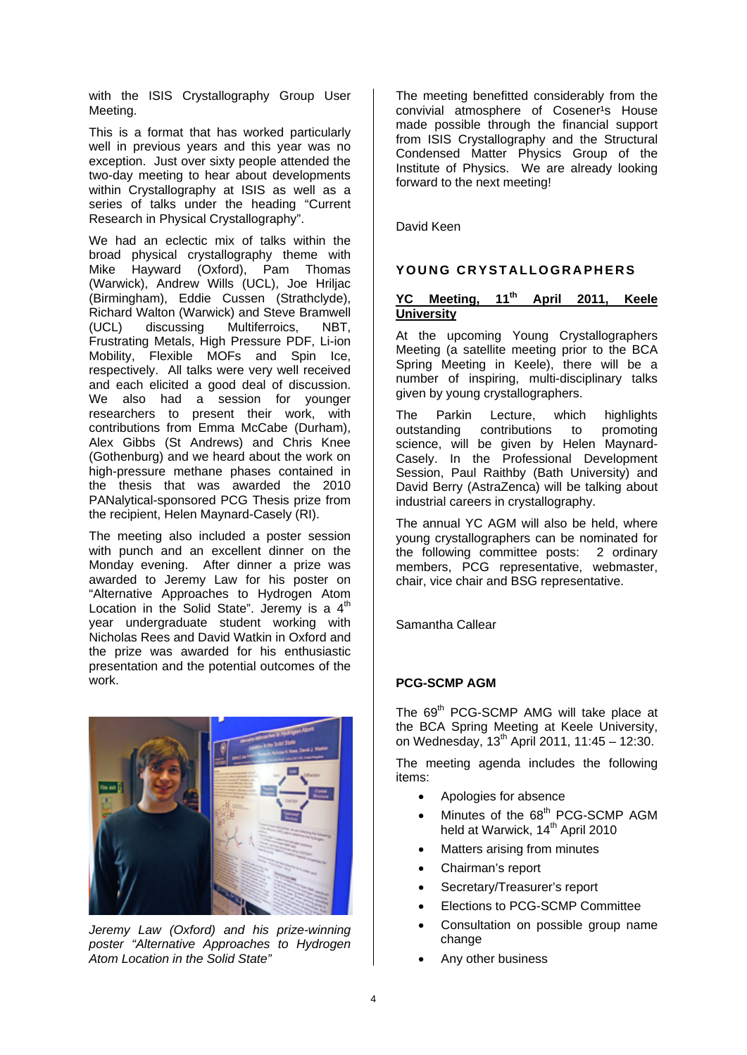with the ISIS Crystallography Group User Meeting.

This is a format that has worked particularly well in previous years and this year was no exception. Just over sixty people attended the two-day meeting to hear about developments within Crystallography at ISIS as well as a series of talks under the heading "Current Research in Physical Crystallography".

We had an eclectic mix of talks within the broad physical crystallography theme with Mike Hayward (Oxford), Pam Thomas (Warwick), Andrew Wills (UCL), Joe Hriljac (Birmingham), Eddie Cussen (Strathclyde), Richard Walton (Warwick) and Steve Bramwell (UCL) discussing Multiferroics, NBT, Frustrating Metals, High Pressure PDF, Li-ion Mobility, Flexible MOFs and Spin Ice, respectively. All talks were very well received and each elicited a good deal of discussion. We also had a session for younger researchers to present their work, with contributions from Emma McCabe (Durham), Alex Gibbs (St Andrews) and Chris Knee (Gothenburg) and we heard about the work on high-pressure methane phases contained in the thesis that was awarded the 2010 PANalytical-sponsored PCG Thesis prize from the recipient, Helen Maynard-Casely (RI).

The meeting also included a poster session with punch and an excellent dinner on the Monday evening. After dinner a prize was awarded to Jeremy Law for his poster on "Alternative Approaches to Hydrogen Atom Location in the Solid State". Jeremy is a  $4<sup>th</sup>$ year undergraduate student working with Nicholas Rees and David Watkin in Oxford and the prize was awarded for his enthusiastic presentation and the potential outcomes of the work.



*Jeremy Law (Oxford) and his prize-winning poster "Alternative Approaches to Hydrogen Atom Location in the Solid State"* 

The meeting benefitted considerably from the convivial atmosphere of Cosener<sup>1</sup>s House made possible through the financial support from ISIS Crystallography and the Structural Condensed Matter Physics Group of the Institute of Physics. We are already looking forward to the next meeting!

David Keen

# **YOUNG CRYSTALLOGRAPHERS**

## **YC Meeting, 11th April 2011, Keele University**

At the upcoming Young Crystallographers Meeting (a satellite meeting prior to the BCA Spring Meeting in Keele), there will be a number of inspiring, multi-disciplinary talks given by young crystallographers.

The Parkin Lecture, which highlights outstanding contributions to promoting science, will be given by Helen Maynard-Casely. In the Professional Development Session, Paul Raithby (Bath University) and David Berry (AstraZenca) will be talking about industrial careers in crystallography.

The annual YC AGM will also be held, where young crystallographers can be nominated for the following committee posts: 2 ordinary members, PCG representative, webmaster, chair, vice chair and BSG representative.

Samantha Callear

## **PCG-SCMP AGM**

The 69<sup>th</sup> PCG-SCMP AMG will take place at the BCA Spring Meeting at Keele University, on Wednesday, 13<sup>th</sup> April 2011, 11:45 - 12:30.

The meeting agenda includes the following items:

- Apologies for absence
- Minutes of the 68<sup>th</sup> PCG-SCMP AGM held at Warwick, 14<sup>th</sup> April 2010
- Matters arising from minutes
- Chairman's report
- Secretary/Treasurer's report
- Elections to PCG-SCMP Committee
- Consultation on possible group name change
- Any other business